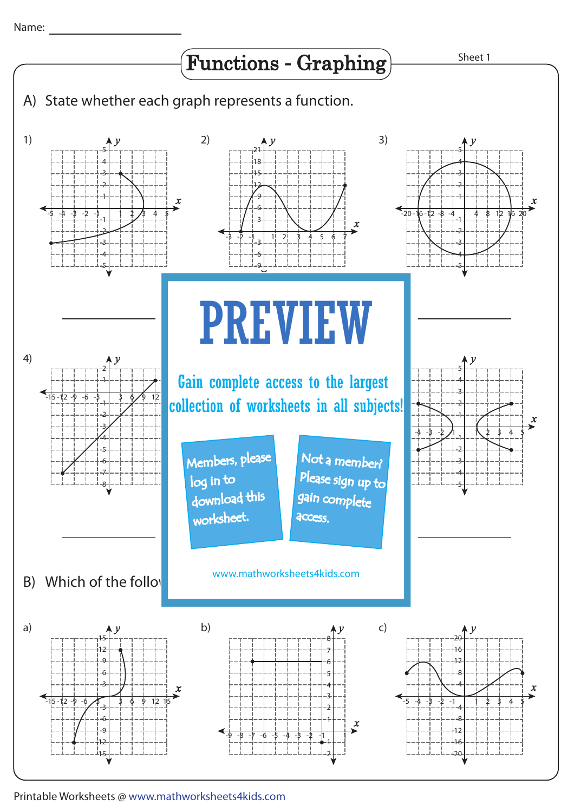